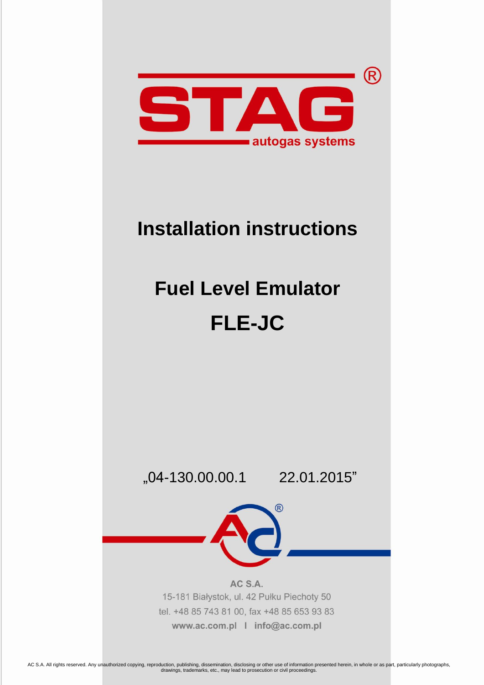

## **Installation instructions**

# **Fuel Level Emulator FLE-JC**

"04-130.00.00.1 22.01.2015"

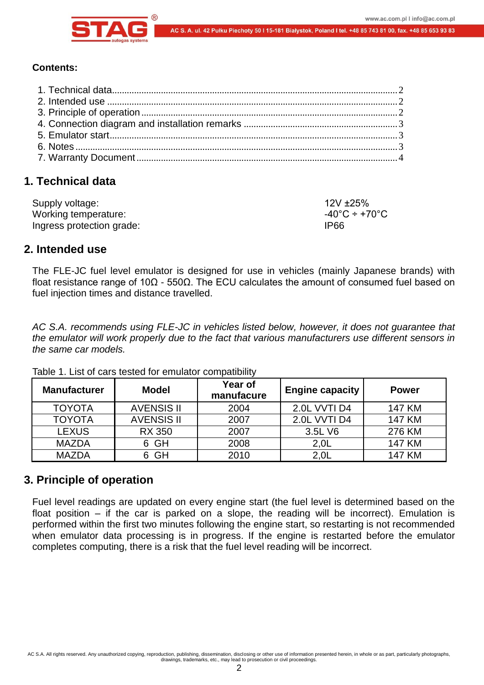

#### **Contents:**

## <span id="page-1-0"></span>**1. Technical data**

| Supply voltage:           | $12V + 25%$                        |
|---------------------------|------------------------------------|
| Working temperature:      | $-40^{\circ}$ C ÷ +70 $^{\circ}$ C |
| Ingress protection grade: | IP66                               |

## <span id="page-1-1"></span>**2. Intended use**

The FLE-JC fuel level emulator is designed for use in vehicles (mainly Japanese brands) with float resistance range of 10Ω - 550Ω. The ECU calculates the amount of consumed fuel based on fuel injection times and distance travelled.

*AC S.A. recommends using FLE-JC in vehicles listed below, however, it does not guarantee that the emulator will work properly due to the fact that various manufacturers use different sensors in the same car models.*

| <b>Manufacturer</b> | <b>Model</b>      | Year of<br>manufacure | <b>Engine capacity</b> | <b>Power</b>  |
|---------------------|-------------------|-----------------------|------------------------|---------------|
| <b>TOYOTA</b>       | <b>AVENSIS II</b> | 2004                  | 2.0L VVTI D4           | <b>147 KM</b> |
| <b>TOYOTA</b>       | <b>AVENSIS II</b> | 2007                  | 2.0L VVTI D4           | 147 KM        |
| <b>LEXUS</b>        | <b>RX 350</b>     | 2007                  | 3.5L V6                | 276 KM        |
| <b>MAZDA</b>        | 6 GH              | 2008                  | 2,0L                   | <b>147 KM</b> |
| <b>MAZDA</b>        | GH                | 2010                  | 2.0 <sub>L</sub>       | <b>147 KM</b> |

Table 1. List of cars tested for emulator compatibility

## <span id="page-1-2"></span>**3. Principle of operation**

Fuel level readings are updated on every engine start (the fuel level is determined based on the float position – if the car is parked on a slope, the reading will be incorrect). Emulation is performed within the first two minutes following the engine start, so restarting is not recommended when emulator data processing is in progress. If the engine is restarted before the emulator completes computing, there is a risk that the fuel level reading will be incorrect.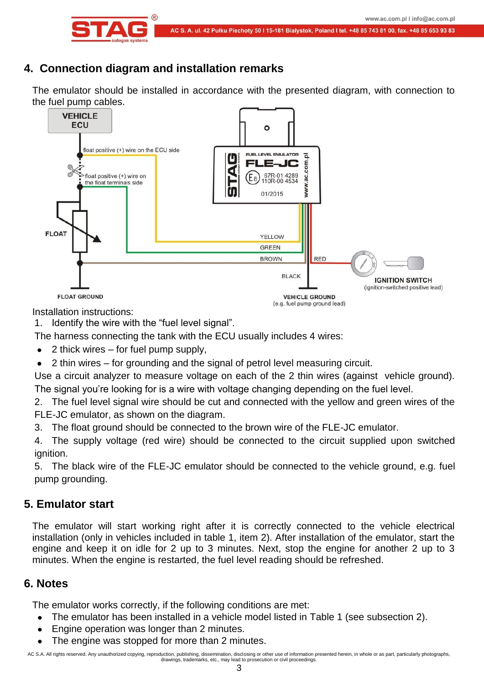



## <span id="page-2-0"></span>**4. Connection diagram and installation remarks**

The emulator should be installed in accordance with the presented diagram, with connection to the fuel pump cables.



Installation instructions:

1. Identify the wire with the "fuel level signal".

The harness connecting the tank with the ECU usually includes 4 wires:

- 2 thick wires for fuel pump supply,
- 2 thin wires for grounding and the signal of petrol level measuring circuit.

Use a circuit analyzer to measure voltage on each of the 2 thin wires (against vehicle ground). The signal you're looking for is a wire with voltage changing depending on the fuel level.

2. The fuel level signal wire should be cut and connected with the yellow and green wires of the FLE-JC emulator, as shown on the diagram.

3. The float ground should be connected to the brown wire of the FLE-JC emulator.

4. The supply voltage (red wire) should be connected to the circuit supplied upon switched ignition.

5. The black wire of the FLE-JC emulator should be connected to the vehicle ground, e.g. fuel pump grounding.

## <span id="page-2-1"></span>**5. Emulator start**

The emulator will start working right after it is correctly connected to the vehicle electrical installation (only in vehicles included in table 1, item 2). After installation of the emulator, start the engine and keep it on idle for 2 up to 3 minutes. Next, stop the engine for another 2 up to 3 minutes. When the engine is restarted, the fuel level reading should be refreshed.

## <span id="page-2-2"></span>**6. Notes**

The emulator works correctly, if the following conditions are met:

- The emulator has been installed in a vehicle model listed in Table 1 (see subsection 2).  $\bullet$
- Engine operation was longer than 2 minutes.
- The engine was stopped for more than 2 minutes.

AC S.A. All rights reserved. Any unauthorized copying, reproduction, publishing, dissemination, disclosing or other use of information presented herein, in whole or as part, particularly photographs, drawings, trademarks, etc., may lead to prosecution or civil proceedings.